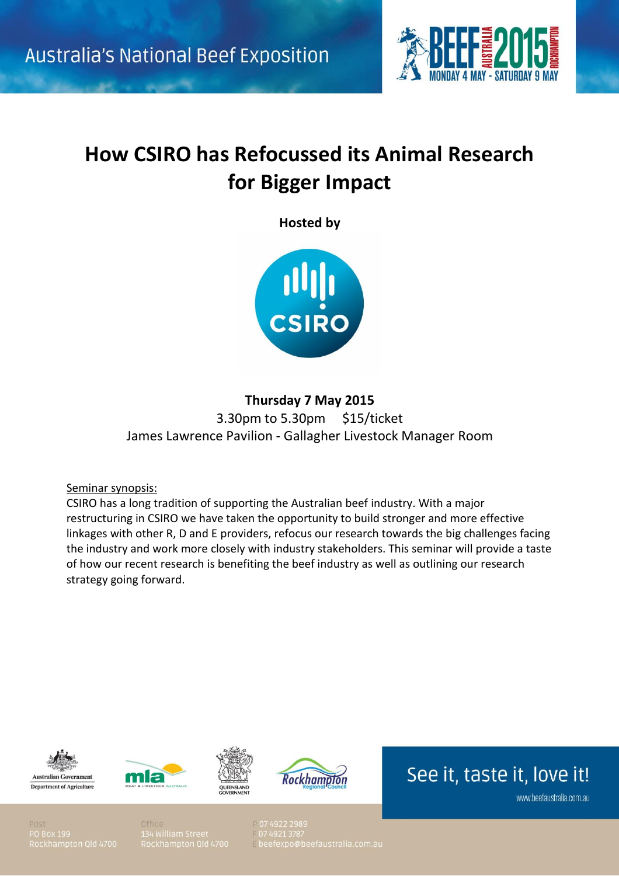

# **How CSIRO has Refocussed its Animal Research for Bigger Impact**

**Hosted by**



**Thursday 7 May 2015** 3.30pm to 5.30pm \$15/ticket James Lawrence Pavilion - Gallagher Livestock Manager Room

Seminar synopsis:

CSIRO has a long tradition of supporting the Australian beef industry. With a major restructuring in CSIRO we have taken the opportunity to build stronger and more effective linkages with other R, D and E providers, refocus our research towards the big challenges facing the industry and work more closely with industry stakeholders. This seminar will provide a taste of how our recent research is benefiting the beef industry as well as outlining our research strategy going forward.









See it, taste it, love it!

www.beefaustralia.com.au

Post 0 Box 199

07 4922 2989 beefexpo@beefaustralia.com.au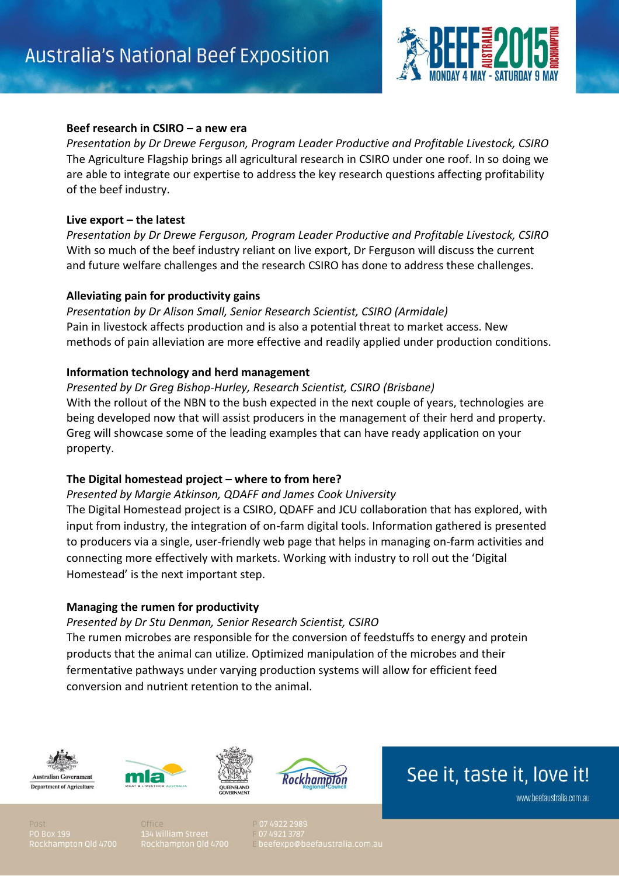

## **Beef research in CSIRO – a new era**

*Presentation by Dr Drewe Ferguson, Program Leader Productive and Profitable Livestock, CSIRO* The Agriculture Flagship brings all agricultural research in CSIRO under one roof. In so doing we are able to integrate our expertise to address the key research questions affecting profitability of the beef industry.

## **Live export – the latest**

*Presentation by Dr Drewe Ferguson, Program Leader Productive and Profitable Livestock, CSIRO* With so much of the beef industry reliant on live export, Dr Ferguson will discuss the current and future welfare challenges and the research CSIRO has done to address these challenges.

## **Alleviating pain for productivity gains**

*Presentation by Dr Alison Small, Senior Research Scientist, CSIRO (Armidale)* Pain in livestock affects production and is also a potential threat to market access. New methods of pain alleviation are more effective and readily applied under production conditions.

## **Information technology and herd management**

*Presented by Dr Greg Bishop-Hurley, Research Scientist, CSIRO (Brisbane)* With the rollout of the NBN to the bush expected in the next couple of years, technologies are being developed now that will assist producers in the management of their herd and property. Greg will showcase some of the leading examples that can have ready application on your property.

## **The Digital homestead project – where to from here?**

#### *Presented by Margie Atkinson, QDAFF and James Cook University*

The Digital Homestead project is a CSIRO, QDAFF and JCU collaboration that has explored, with input from industry, the integration of on-farm digital tools. Information gathered is presented to producers via a single, user-friendly web page that helps in managing on-farm activities and connecting more effectively with markets. Working with industry to roll out the 'Digital Homestead' is the next important step.

#### **Managing the rumen for productivity**

#### *Presented by Dr Stu Denman, Senior Research Scientist, CSIRO*

The rumen microbes are responsible for the conversion of feedstuffs to energy and protein products that the animal can utilize. Optimized manipulation of the microbes and their fermentative pathways under varying production systems will allow for efficient feed conversion and nutrient retention to the animal.







See it, taste it, love it!

www.beefaustralia.com.au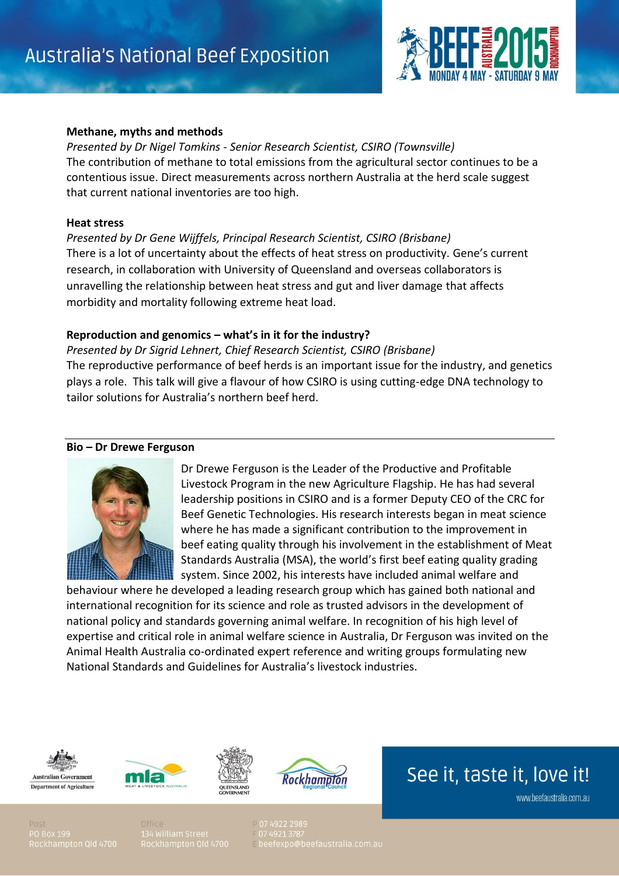

## **Methane, myths and methods**

*Presented by Dr Nigel Tomkins - Senior Research Scientist, CSIRO (Townsville)* The contribution of methane to total emissions from the agricultural sector continues to be a contentious issue. Direct measurements across northern Australia at the herd scale suggest that current national inventories are too high.

### **Heat stress**

*Presented by Dr Gene Wijffels, Principal Research Scientist, CSIRO (Brisbane)* There is a lot of uncertainty about the effects of heat stress on productivity. Gene's current research, in collaboration with University of Queensland and overseas collaborators is unravelling the relationship between heat stress and gut and liver damage that affects morbidity and mortality following extreme heat load.

## **Reproduction and genomics – what's in it for the industry?**

*Presented by Dr Sigrid Lehnert, Chief Research Scientist, CSIRO (Brisbane)* The reproductive performance of beef herds is an important issue for the industry, and genetics plays a role. This talk will give a flavour of how CSIRO is using cutting-edge DNA technology to tailor solutions for Australia's northern beef herd.

## **Bio – Dr Drewe Ferguson**



Dr Drewe Ferguson is the Leader of the Productive and Profitable Livestock Program in the new Agriculture Flagship. He has had several leadership positions in CSIRO and is a former Deputy CEO of the CRC for Beef Genetic Technologies. His research interests began in meat science where he has made a significant contribution to the improvement in beef eating quality through his involvement in the establishment of Meat Standards Australia (MSA), the world's first beef eating quality grading system. Since 2002, his interests have included animal welfare and

behaviour where he developed a leading research group which has gained both national and international recognition for its science and role as trusted advisors in the development of national policy and standards governing animal welfare. In recognition of his high level of expertise and critical role in animal welfare science in Australia, Dr Ferguson was invited on the Animal Health Australia co-ordinated expert reference and writing groups formulating new National Standards and Guidelines for Australia's livestock industries.







See it, taste it, love it!

www.beefaustralia.com.au

0.Box 199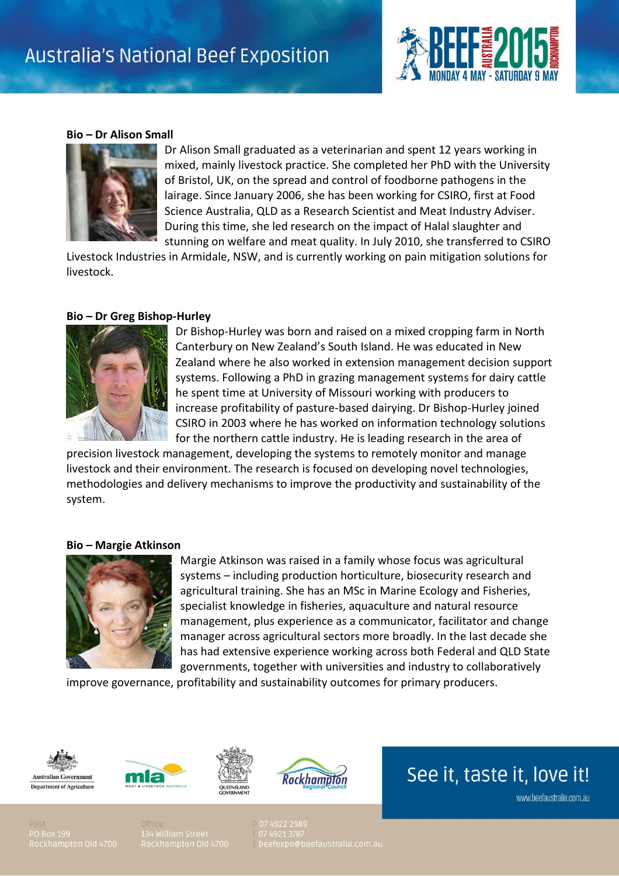

### **Bio – Dr Alison Small**



Dr Alison Small graduated as a veterinarian and spent 12 years working in mixed, mainly livestock practice. She completed her PhD with the University of Bristol, UK, on the spread and control of foodborne pathogens in the lairage. Since January 2006, she has been working for CSIRO, first at Food Science Australia, QLD as a Research Scientist and Meat Industry Adviser. During this time, she led research on the impact of Halal slaughter and stunning on welfare and meat quality. In July 2010, she transferred to CSIRO

Livestock Industries in Armidale, NSW, and is currently working on pain mitigation solutions for livestock.

#### **Bio – Dr Greg Bishop-Hurley**



Dr Bishop-Hurley was born and raised on a mixed cropping farm in North Canterbury on New Zealand's South Island. He was educated in New Zealand where he also worked in extension management decision support systems. Following a PhD in grazing management systems for dairy cattle he spent time at University of Missouri working with producers to increase profitability of pasture-based dairying. Dr Bishop-Hurley joined CSIRO in 2003 where he has worked on information technology solutions for the northern cattle industry. He is leading research in the area of

precision livestock management, developing the systems to remotely monitor and manage livestock and their environment. The research is focused on developing novel technologies, methodologies and delivery mechanisms to improve the productivity and sustainability of the system.

#### **Bio – Margie Atkinson**



Margie Atkinson was raised in a family whose focus was agricultural systems – including production horticulture, biosecurity research and agricultural training. She has an MSc in Marine Ecology and Fisheries, specialist knowledge in fisheries, aquaculture and natural resource management, plus experience as a communicator, facilitator and change manager across agricultural sectors more broadly. In the last decade she has had extensive experience working across both Federal and QLD State governments, together with universities and industry to collaboratively

improve governance, profitability and sustainability outcomes for primary producers.









See it, taste it, love it!

www.beefaustralia.com.au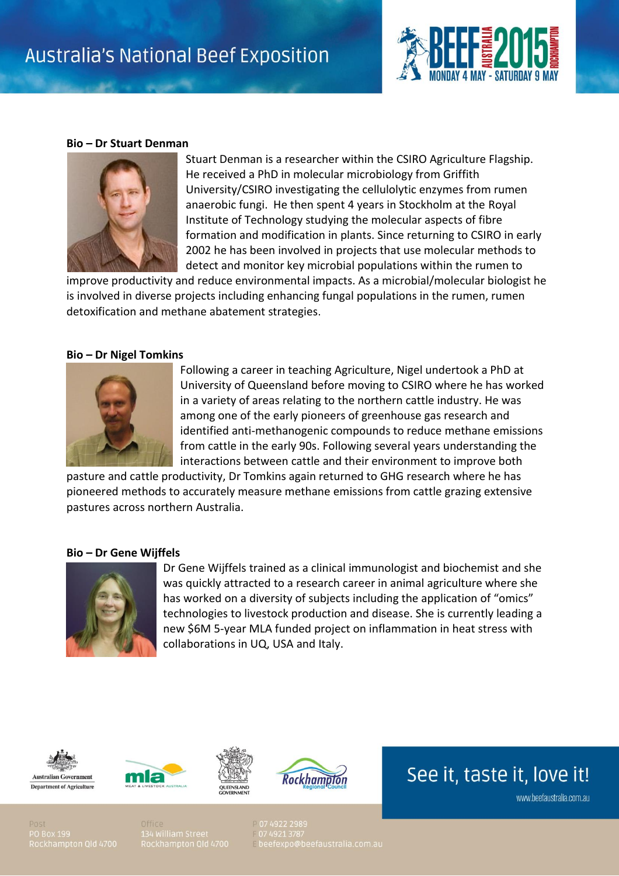

#### **Bio – Dr Stuart Denman**



Stuart Denman is a researcher within the CSIRO Agriculture Flagship. He received a PhD in molecular microbiology from Griffith University/CSIRO investigating the cellulolytic enzymes from rumen anaerobic fungi. He then spent 4 years in Stockholm at the Royal Institute of Technology studying the molecular aspects of fibre formation and modification in plants. Since returning to CSIRO in early 2002 he has been involved in projects that use molecular methods to detect and monitor key microbial populations within the rumen to

improve productivity and reduce environmental impacts. As a microbial/molecular biologist he is involved in diverse projects including enhancing fungal populations in the rumen, rumen detoxification and methane abatement strategies.

#### **Bio – Dr Nigel Tomkins**



Following a career in teaching Agriculture, Nigel undertook a PhD at University of Queensland before moving to CSIRO where he has worked in a variety of areas relating to the northern cattle industry. He was among one of the early pioneers of greenhouse gas research and identified anti-methanogenic compounds to reduce methane emissions from cattle in the early 90s. Following several years understanding the interactions between cattle and their environment to improve both

pasture and cattle productivity, Dr Tomkins again returned to GHG research where he has pioneered methods to accurately measure methane emissions from cattle grazing extensive pastures across northern Australia.

#### **Bio – Dr Gene Wijffels**



Dr Gene Wijffels trained as a clinical immunologist and biochemist and she was quickly attracted to a research career in animal agriculture where she has worked on a diversity of subjects including the application of "omics" technologies to livestock production and disease. She is currently leading a new \$6M 5-year MLA funded project on inflammation in heat stress with collaborations in UQ, USA and Italy.









See it, taste it, love it!

www.beefaustralia.com.au